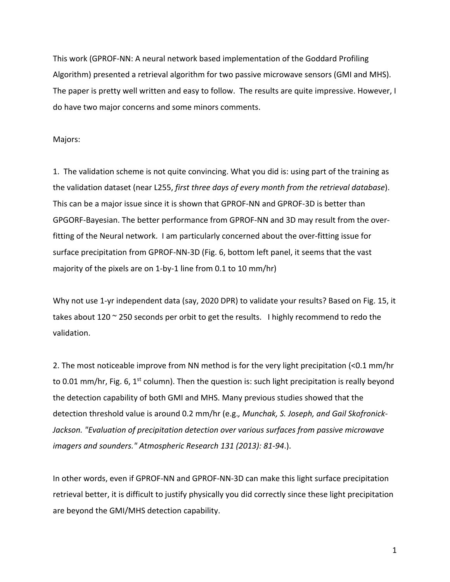This work (GPROF-NN: A neural network based implementation of the Goddard Profiling Algorithm) presented a retrieval algorithm for two passive microwave sensors (GMI and MHS). The paper is pretty well written and easy to follow. The results are quite impressive. However, I do have two major concerns and some minors comments.

## Majors:

1. The validation scheme is not quite convincing. What you did is: using part of the training as the validation dataset (near L255, *first three days of every month from the retrieval database*). This can be a major issue since it is shown that GPROF-NN and GPROF-3D is better than GPGORF-Bayesian. The better performance from GPROF-NN and 3D may result from the overfitting of the Neural network. I am particularly concerned about the over-fitting issue for surface precipitation from GPROF-NN-3D (Fig. 6, bottom left panel, it seems that the vast majority of the pixels are on 1-by-1 line from 0.1 to 10 mm/hr)

Why not use 1-yr independent data (say, 2020 DPR) to validate your results? Based on Fig. 15, it takes about 120 ~ 250 seconds per orbit to get the results. I highly recommend to redo the validation.

2. The most noticeable improve from NN method is for the very light precipitation (<0.1 mm/hr to 0.01 mm/hr, Fig. 6, 1<sup>st</sup> column). Then the question is: such light precipitation is really beyond the detection capability of both GMI and MHS. Many previous studies showed that the detection threshold value is around 0.2 mm/hr (e.g.*, Munchak, S. Joseph, and Gail Skofronick-Jackson. "Evaluation of precipitation detection over various surfaces from passive microwave imagers and sounders." Atmospheric Research 131 (2013): 81-94*.).

In other words, even if GPROF-NN and GPROF-NN-3D can make this light surface precipitation retrieval better, it is difficult to justify physically you did correctly since these light precipitation are beyond the GMI/MHS detection capability.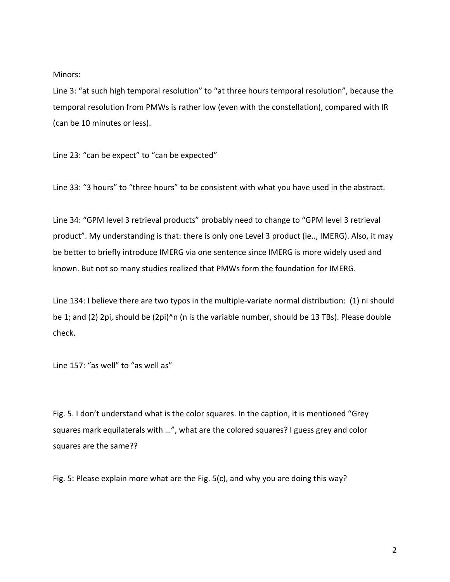## Minors:

Line 3: "at such high temporal resolution" to "at three hours temporal resolution", because the temporal resolution from PMWs is rather low (even with the constellation), compared with IR (can be 10 minutes or less).

Line 23: "can be expect" to "can be expected"

Line 33: "3 hours" to "three hours" to be consistent with what you have used in the abstract.

Line 34: "GPM level 3 retrieval products" probably need to change to "GPM level 3 retrieval product". My understanding is that: there is only one Level 3 product (ie.., IMERG). Also, it may be better to briefly introduce IMERG via one sentence since IMERG is more widely used and known. But not so many studies realized that PMWs form the foundation for IMERG.

Line 134: I believe there are two typos in the multiple-variate normal distribution: (1) ni should be 1; and (2) 2pi, should be (2pi)^n (n is the variable number, should be 13 TBs). Please double check.

Line 157: "as well" to "as well as"

Fig. 5. I don't understand what is the color squares. In the caption, it is mentioned "Grey squares mark equilaterals with …", what are the colored squares? I guess grey and color squares are the same??

Fig. 5: Please explain more what are the Fig. 5(c), and why you are doing this way?